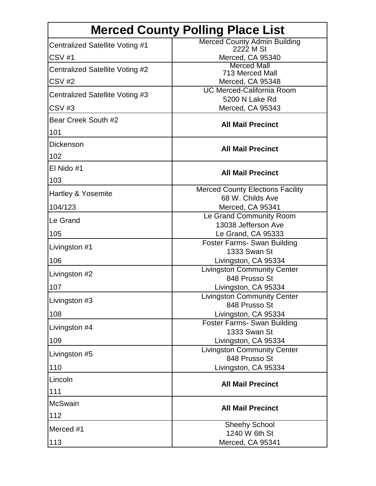| <b>Merced County Polling Place List</b> |                                                             |
|-----------------------------------------|-------------------------------------------------------------|
| Centralized Satellite Voting #1         | <b>Merced County Admin Building</b><br>2222 M St            |
| <b>CSV #1</b>                           | Merced, CA 95340                                            |
| Centralized Satellite Voting #2         | <b>Merced Mall</b>                                          |
| <b>CSV #2</b>                           | 713 Merced Mall<br>Merced, CA 95348                         |
| Centralized Satellite Voting #3         | <b>UC Merced-California Room</b>                            |
|                                         | 5200 N Lake Rd                                              |
| CSV#3                                   | Merced, CA 95343                                            |
| Bear Creek South #2                     | <b>All Mail Precinct</b>                                    |
| 101                                     |                                                             |
| <b>Dickenson</b>                        | <b>All Mail Precinct</b>                                    |
| 102                                     |                                                             |
| El Nido #1                              | <b>All Mail Precinct</b>                                    |
| 103                                     |                                                             |
| Hartley & Yosemite                      | <b>Merced County Elections Facility</b><br>68 W. Childs Ave |
| 104/123                                 | Merced, CA 95341                                            |
| Le Grand                                | Le Grand Community Room                                     |
|                                         | 13038 Jefferson Ave                                         |
| 105                                     | Le Grand, CA 95333<br><b>Foster Farms- Swan Building</b>    |
| Livingston #1                           | 1333 Swan St                                                |
| 106                                     | Livingston, CA 95334                                        |
| Livingston #2                           | <b>Livingston Community Center</b>                          |
| 107                                     | 848 Prusso St<br>Livingston, CA 95334                       |
|                                         | <b>Livingston Community Center</b>                          |
| Livingston #3                           | 848 Prusso St                                               |
| 108                                     | Livingston, CA 95334<br><b>Foster Farms- Swan Building</b>  |
| Livingston #4                           | 1333 Swan St                                                |
| 109                                     | Livingston, CA 95334                                        |
| Livingston #5                           | <b>Livingston Community Center</b>                          |
| 110                                     | 848 Prusso St<br>Livingston, CA 95334                       |
| Lincoln                                 |                                                             |
|                                         | <b>All Mail Precinct</b>                                    |
| 111                                     |                                                             |
| <b>McSwain</b>                          | <b>All Mail Precinct</b>                                    |
| 112                                     | <b>Sheehy School</b>                                        |
| Merced #1                               | 1240 W 6th St                                               |
| 113                                     | Merced, CA 95341                                            |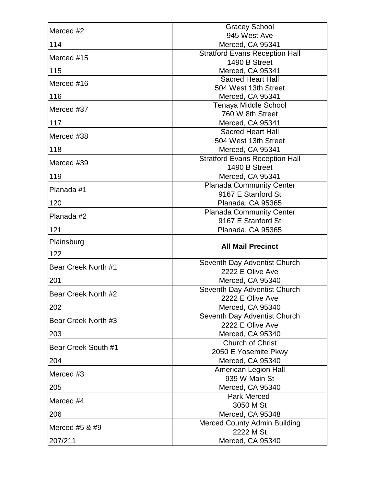| Merced #2           | <b>Gracey School</b>                                   |
|---------------------|--------------------------------------------------------|
|                     | 945 West Ave                                           |
| 114                 | Merced, CA 95341                                       |
| Merced #15          | <b>Stratford Evans Reception Hall</b>                  |
|                     | 1490 B Street                                          |
| 115                 | Merced, CA 95341<br><b>Sacred Heart Hall</b>           |
| Merced #16          | 504 West 13th Street                                   |
| 116                 | Merced, CA 95341                                       |
| Merced #37          | Tenaya Middle School                                   |
|                     | 760 W 8th Street                                       |
| 117                 | Merced, CA 95341                                       |
| Merced #38          | <b>Sacred Heart Hall</b>                               |
|                     | 504 West 13th Street                                   |
| 118                 | Merced, CA 95341                                       |
| Merced #39          | <b>Stratford Evans Reception Hall</b><br>1490 B Street |
| 119                 | Merced, CA 95341                                       |
|                     | <b>Planada Community Center</b>                        |
| Planada #1          | 9167 E Stanford St                                     |
| 120                 | Planada, CA 95365                                      |
| Planada #2          | Planada Community Center                               |
|                     | 9167 E Stanford St                                     |
| 121                 | Planada, CA 95365                                      |
|                     |                                                        |
| Plainsburg          |                                                        |
| 122                 | <b>All Mail Precinct</b>                               |
|                     | Seventh Day Adventist Church                           |
| Bear Creek North #1 | 2222 E Olive Ave                                       |
| 201                 | Merced, CA 95340                                       |
| Bear Creek North #2 | Seventh Day Adventist Church                           |
|                     | 2222 E Olive Ave                                       |
| 202                 | Merced, CA 95340                                       |
| Bear Creek North #3 | Seventh Day Adventist Church                           |
| 203                 | 2222 E Olive Ave<br>Merced, CA 95340                   |
|                     | Church of Christ                                       |
| Bear Creek South #1 | 2050 E Yosemite Pkwy                                   |
| 204                 | Merced, CA 95340                                       |
| Merced #3           | American Legion Hall                                   |
|                     | 939 W Main St                                          |
| 205                 | Merced, CA 95340                                       |
| Merced #4           | <b>Park Merced</b>                                     |
| 206                 | 3050 M St<br>Merced, CA 95348                          |
|                     | <b>Merced County Admin Building</b>                    |
| Merced #5 & #9      | 2222 M St                                              |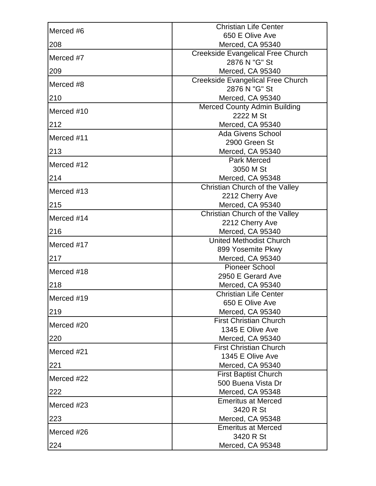| Merced #6  | <b>Christian Life Center</b>                       |
|------------|----------------------------------------------------|
|            | 650 E Olive Ave                                    |
| 208        | Merced, CA 95340                                   |
| Merced #7  | Creekside Evangelical Free Church                  |
|            | 2876 N "G" St                                      |
| 209        | Merced, CA 95340                                   |
| Merced #8  | Creekside Evangelical Free Church<br>2876 N "G" St |
| 210        | Merced, CA 95340                                   |
|            | <b>Merced County Admin Building</b>                |
| Merced #10 | 2222 M St                                          |
| 212        | Merced, CA 95340                                   |
| Merced #11 | <b>Ada Givens School</b>                           |
|            | 2900 Green St                                      |
| 213        | Merced, CA 95340                                   |
| Merced #12 | <b>Park Merced</b><br>3050 M St                    |
| 214        | Merced, CA 95348                                   |
|            | Christian Church of the Valley                     |
| Merced #13 | 2212 Cherry Ave                                    |
| 215        | Merced, CA 95340                                   |
|            | Christian Church of the Valley                     |
| Merced #14 | 2212 Cherry Ave                                    |
| 216        | Merced, CA 95340                                   |
| Merced #17 | <b>United Methodist Church</b>                     |
|            | 899 Yosemite Pkwy                                  |
| 217        | Merced, CA 95340                                   |
| Merced #18 | <b>Pioneer School</b>                              |
|            | 2950 E Gerard Ave                                  |
| 218        | Merced, CA 95340                                   |
| Merced #19 | <b>Christian Life Center</b>                       |
|            | 650 E Olive Ave                                    |
| 219        | Merced, CA 95340<br><b>First Christian Church</b>  |
| Merced #20 | 1345 E Olive Ave                                   |
| 220        | Merced, CA 95340                                   |
|            | <b>First Christian Church</b>                      |
| Merced #21 | 1345 E Olive Ave                                   |
| 221        | Merced, CA 95340                                   |
|            | <b>First Baptist Church</b>                        |
| Merced #22 | 500 Buena Vista Dr                                 |
| 222        | Merced, CA 95348                                   |
| Merced #23 | <b>Emeritus at Merced</b>                          |
|            | 3420 R St                                          |
| 223        | Merced, CA 95348                                   |
| Merced #26 | <b>Emeritus at Merced</b>                          |
|            | 3420 R St                                          |
| 224        | Merced, CA 95348                                   |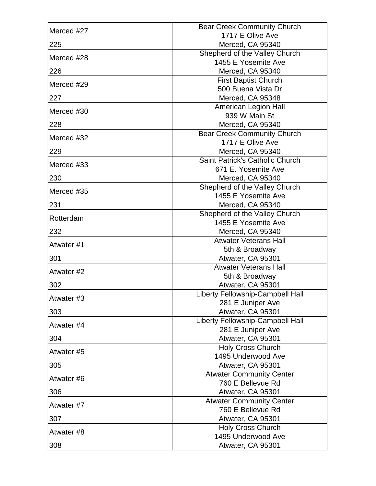| Merced #27 | <b>Bear Creek Community Church</b>                   |
|------------|------------------------------------------------------|
|            | 1717 E Olive Ave                                     |
| 225        | Merced, CA 95340                                     |
| Merced #28 | Shepherd of the Valley Church                        |
|            | 1455 E Yosemite Ave                                  |
| 226        | Merced, CA 95340                                     |
| Merced #29 | <b>First Baptist Church</b>                          |
|            | 500 Buena Vista Dr                                   |
| 227        | Merced, CA 95348<br>American Legion Hall             |
| Merced #30 | 939 W Main St                                        |
| 228        | Merced, CA 95340                                     |
|            | <b>Bear Creek Community Church</b>                   |
| Merced #32 | 1717 E Olive Ave                                     |
| 229        | Merced, CA 95340                                     |
| Merced #33 | Saint Patrick's Catholic Church                      |
|            | 671 E. Yosemite Ave                                  |
| 230        | Merced, CA 95340                                     |
| Merced #35 | Shepherd of the Valley Church                        |
|            | 1455 E Yosemite Ave                                  |
| 231        | Merced, CA 95340                                     |
| Rotterdam  | Shepherd of the Valley Church                        |
|            | 1455 E Yosemite Ave                                  |
| 232        | Merced, CA 95340                                     |
| Atwater #1 | <b>Atwater Veterans Hall</b>                         |
| 301        | 5th & Broadway                                       |
|            | Atwater, CA 95301<br><b>Atwater Veterans Hall</b>    |
| Atwater #2 | 5th & Broadway                                       |
| 302        | Atwater, CA 95301                                    |
|            | Liberty Fellowship-Campbell Hall                     |
| Atwater #3 | 281 E Juniper Ave                                    |
| 303        | Atwater, CA 95301                                    |
| Atwater #4 | Liberty Fellowship-Campbell Hall                     |
|            | 281 E Juniper Ave                                    |
| 304        | Atwater, CA 95301                                    |
| Atwater #5 | <b>Holy Cross Church</b>                             |
|            | 1495 Underwood Ave                                   |
| 305        | Atwater, CA 95301                                    |
| Atwater #6 | <b>Atwater Community Center</b>                      |
|            | 760 E Bellevue Rd                                    |
| 306        | Atwater, CA 95301                                    |
| Atwater #7 | <b>Atwater Community Center</b><br>760 E Bellevue Rd |
| 307        | Atwater, CA 95301                                    |
|            | Holy Cross Church                                    |
| Atwater #8 | 1495 Underwood Ave                                   |
| 308        | Atwater, CA 95301                                    |
|            |                                                      |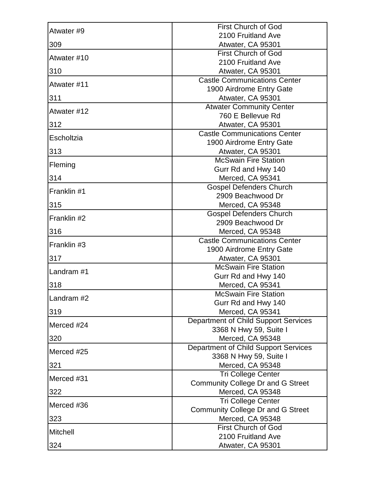| Atwater #9  | <b>First Church of God</b>                                      |
|-------------|-----------------------------------------------------------------|
|             | 2100 Fruitland Ave                                              |
| 309         | Atwater, CA 95301                                               |
| Atwater #10 | <b>First Church of God</b>                                      |
|             | 2100 Fruitland Ave                                              |
| 310         | Atwater, CA 95301                                               |
| Atwater #11 | <b>Castle Communications Center</b><br>1900 Airdrome Entry Gate |
| 311         | Atwater, CA 95301                                               |
|             | <b>Atwater Community Center</b>                                 |
| Atwater #12 | 760 E Bellevue Rd                                               |
| 312         | Atwater, CA 95301                                               |
| Escholtzia  | <b>Castle Communications Center</b>                             |
|             | 1900 Airdrome Entry Gate                                        |
| 313         | Atwater, CA 95301<br><b>McSwain Fire Station</b>                |
| Fleming     | Gurr Rd and Hwy 140                                             |
| 314         | Merced, CA 95341                                                |
|             | <b>Gospel Defenders Church</b>                                  |
| Franklin #1 | 2909 Beachwood Dr                                               |
| 315         | Merced, CA 95348                                                |
|             | <b>Gospel Defenders Church</b>                                  |
| Franklin #2 | 2909 Beachwood Dr                                               |
| 316         | Merced, CA 95348                                                |
| Franklin #3 | <b>Castle Communications Center</b>                             |
|             | 1900 Airdrome Entry Gate                                        |
| 317         | Atwater, CA 95301                                               |
| Landram #1  | <b>McSwain Fire Station</b>                                     |
|             | Gurr Rd and Hwy 140                                             |
| 318         | Merced, CA 95341<br><b>McSwain Fire Station</b>                 |
| Landram #2  | Gurr Rd and Hwy 140                                             |
| 319         | Merced, CA 95341                                                |
|             | Department of Child Support Services                            |
| Merced #24  | 3368 N Hwy 59, Suite I                                          |
| 320         | Merced, CA 95348                                                |
| Merced #25  | Department of Child Support Services                            |
|             | 3368 N Hwy 59, Suite I                                          |
| 321         | Merced, CA 95348                                                |
| Merced #31  | Tri College Center                                              |
|             | <b>Community College Dr and G Street</b>                        |
| 322         | Merced, CA 95348                                                |
| Merced #36  | <b>Tri College Center</b>                                       |
| 323         | <b>Community College Dr and G Street</b><br>Merced, CA 95348    |
|             | <b>First Church of God</b>                                      |
| Mitchell    | 2100 Fruitland Ave                                              |
| 324         | Atwater, CA 95301                                               |
|             |                                                                 |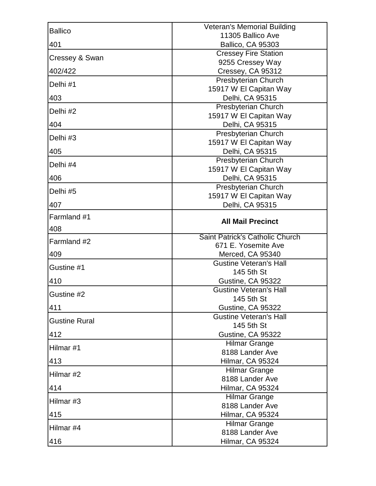| <b>Ballico</b>       | <b>Veteran's Memorial Building</b>                |
|----------------------|---------------------------------------------------|
|                      | 11305 Ballico Ave                                 |
| 401                  | <b>Ballico, CA 95303</b>                          |
| Cressey & Swan       | <b>Cressey Fire Station</b><br>9255 Cressey Way   |
| 402/422              | Cressey, CA 95312                                 |
| Delhi #1             | Presbyterian Church                               |
|                      | 15917 W El Capitan Way                            |
| 403                  | Delhi, CA 95315                                   |
| Delhi #2             | Presbyterian Church<br>15917 W El Capitan Way     |
| 404                  | Delhi, CA 95315                                   |
| Delhi #3             | Presbyterian Church                               |
| 405                  | 15917 W El Capitan Way<br>Delhi, CA 95315         |
|                      | <b>Presbyterian Church</b>                        |
| Delhi #4             | 15917 W El Capitan Way                            |
| 406                  | Delhi, CA 95315                                   |
| Delhi #5             | Presbyterian Church                               |
|                      | 15917 W El Capitan Way                            |
| 407                  | Delhi, CA 95315                                   |
| Farmland #1          | <b>All Mail Precinct</b>                          |
| 408                  |                                                   |
| Farmland #2          | Saint Patrick's Catholic Church                   |
|                      |                                                   |
|                      | 671 E. Yosemite Ave                               |
| 409                  | Merced, CA 95340<br><b>Gustine Veteran's Hall</b> |
| Gustine #1           | 145 5th St                                        |
| 410                  | Gustine, CA 95322                                 |
|                      | <b>Gustine Veteran's Hall</b>                     |
| Gustine #2           | 145 5th St                                        |
| 411                  | Gustine, CA 95322                                 |
| <b>Gustine Rural</b> | <b>Gustine Veteran's Hall</b>                     |
| 412                  | 145 5th St<br>Gustine, CA 95322                   |
|                      | <b>Hilmar Grange</b>                              |
| Hilmar #1            | 8188 Lander Ave                                   |
| 413                  | Hilmar, CA 95324                                  |
| Hilmar #2            | <b>Hilmar Grange</b>                              |
|                      | 8188 Lander Ave                                   |
| 414                  | Hilmar, CA 95324                                  |
| Hilmar #3            | <b>Hilmar Grange</b><br>8188 Lander Ave           |
| 415                  | Hilmar, CA 95324                                  |
|                      | Hilmar Grange                                     |
| Hilmar #4<br>416     | 8188 Lander Ave<br>Hilmar, CA 95324               |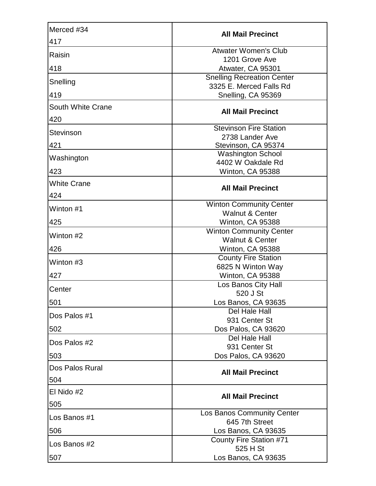| Merced #34               | <b>All Mail Precinct</b>                                     |
|--------------------------|--------------------------------------------------------------|
| 417                      |                                                              |
| Raisin                   | <b>Atwater Women's Club</b><br>1201 Grove Ave                |
| 418                      | Atwater, CA 95301                                            |
|                          | <b>Snelling Recreation Center</b>                            |
| Snelling                 | 3325 E. Merced Falls Rd                                      |
| 419                      | Snelling, CA 95369                                           |
| <b>South White Crane</b> | <b>All Mail Precinct</b>                                     |
| 420                      |                                                              |
| <b>Stevinson</b>         | <b>Stevinson Fire Station</b>                                |
|                          | 2738 Lander Ave                                              |
| 421                      | Stevinson, CA 95374                                          |
| Washington               | <b>Washington School</b>                                     |
|                          | 4402 W Oakdale Rd                                            |
| 423                      | Winton, CA 95388                                             |
| <b>White Crane</b>       | <b>All Mail Precinct</b>                                     |
| 424                      |                                                              |
| Winton #1                | <b>Winton Community Center</b>                               |
|                          | <b>Walnut &amp; Center</b>                                   |
| 425                      | Winton, CA 95388                                             |
| Winton #2                | <b>Winton Community Center</b><br><b>Walnut &amp; Center</b> |
| 426                      | Winton, CA 95388                                             |
|                          | <b>County Fire Station</b>                                   |
| Winton #3                | 6825 N Winton Way                                            |
| 427                      | Winton, CA 95388                                             |
| Center                   | Los Banos City Hall                                          |
|                          | 520 J St                                                     |
| 501                      | Los Banos, CA 93635                                          |
| Dos Palos #1             | Del Hale Hall                                                |
|                          | 931 Center St                                                |
| 502                      | Dos Palos, CA 93620                                          |
| Dos Palos #2             | Del Hale Hall<br>931 Center St                               |
| 503                      | Dos Palos, CA 93620                                          |
| Dos Palos Rural          |                                                              |
|                          | <b>All Mail Precinct</b>                                     |
| 504                      |                                                              |
| El Nido #2               | <b>All Mail Precinct</b>                                     |
| 505                      |                                                              |
| Los Banos #1             | Los Banos Community Center<br>645 7th Street                 |
| 506                      | Los Banos, CA 93635                                          |
| Los Banos #2             | County Fire Station #71                                      |
|                          | 525 H St                                                     |
| 507                      | Los Banos, CA 93635                                          |